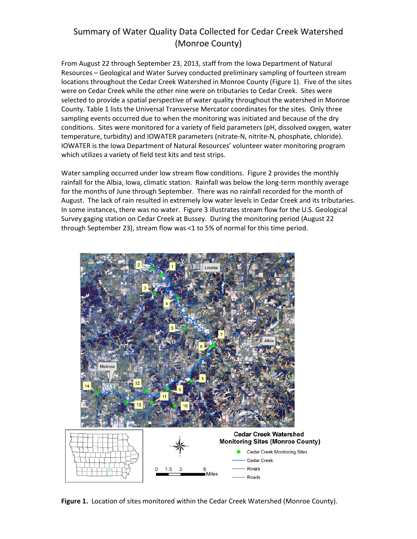# Summary of Water Quality Data Collected for Cedar Creek Watershed (Monroe County)

From August 22 through September 23, 2013, staff from the Iowa Department of Natural Resources – Geological and Water Survey conducted preliminary sampling of fourteen stream locations throughout the Cedar Creek Watershed in Monroe County (Figure 1). Five of the sites were on Cedar Creek while the other nine were on tributaries to Cedar Creek. Sites were selected to provide a spatial perspective of water quality throughout the watershed in Monroe County. Table 1 lists the Universal Transverse Mercator coordinates for the sites. Only three sampling events occurred due to when the monitoring was initiated and because of the dry conditions. Sites were monitored for a variety of field parameters (pH, dissolved oxygen, water temperature, turbidity) and IOWATER parameters (nitrate-N, nitrite-N, phosphate, chloride). IOWATER is the Iowa Department of Natural Resources' volunteer water monitoring program which utilizes a variety of field test kits and test strips.

Water sampling occurred under low stream flow conditions. Figure 2 provides the monthly rainfall for the Albia, Iowa, climatic station. Rainfall was below the long-term monthly average for the months of June through September. There was no rainfall recorded for the month of August. The lack of rain resulted in extremely low water levels in Cedar Creek and its tributaries. In some instances, there was no water. Figure 3 illustrates stream flow for the U.S. Geological Survey gaging station on Cedar Creek at Bussey. During the monitoring period (August 22 through September 23), stream flow was <1 to 5% of normal for this time period.



**Figure 1.** Location of sites monitored within the Cedar Creek Watershed (Monroe County).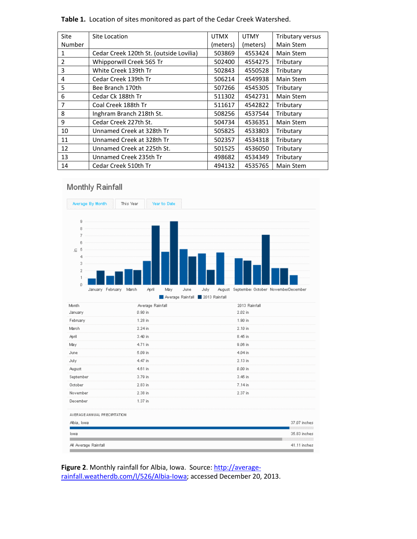| <b>Site</b>    | Site Location                           | <b>UTMX</b> | <b>UTMY</b> | Tributary versus |  |
|----------------|-----------------------------------------|-------------|-------------|------------------|--|
| Number         |                                         | (meters)    | (meters)    | Main Stem        |  |
| 1              | Cedar Creek 120th St. (outside Lovilia) | 503869      | 4553424     | Main Stem        |  |
| $\overline{2}$ | Whipporwill Creek 565 Tr                | 502400      | 4554275     | Tributary        |  |
| 3              | White Creek 139th Tr                    | 502843      | 4550528     | Tributary        |  |
| 4              | Cedar Creek 139th Tr                    | 506214      | 4549938     | Main Stem        |  |
| 5              | Bee Branch 170th                        | 507266      | 4545305     | Tributary        |  |
| 6              | Cedar Ck 188th Tr                       | 511302      | 4542731     | Main Stem        |  |
| 7              | Coal Creek 188th Tr                     | 511617      | 4542822     | Tributary        |  |
| 8              | Inghram Branch 218th St.                | 508256      | 4537544     | Tributary        |  |
| 9              | Cedar Creek 227th St.                   | 504734      | 4536351     | Main Stem        |  |
| 10             | Unnamed Creek at 328th Tr               | 505825      | 4533803     | Tributary        |  |
| 11             | Unnamed Creek at 328th Tr               | 502357      | 4534318     | Tributary        |  |
| 12             | Unnamed Creek at 225th St.              | 501525      | 4536050     | Tributary        |  |
| 13             | Unnamed Creek 235th Tr                  | 498682      | 4534349     | Tributary        |  |
| 14             | Cedar Creek 510th Tr                    | 494132      | 4535765     | Main Stem        |  |

**Table 1.** Location of sites monitored as part of the Cedar Creek Watershed.

# Monthly Rainfall



Figure 2. Monthly rainfall for Albia, Iowa. Source: [http://average](http://average-rainfall.weatherdb.com/l/526/Albia-Iowa)[rainfall.weatherdb.com/l/526/Albia-Iowa;](http://average-rainfall.weatherdb.com/l/526/Albia-Iowa) accessed December 20, 2013.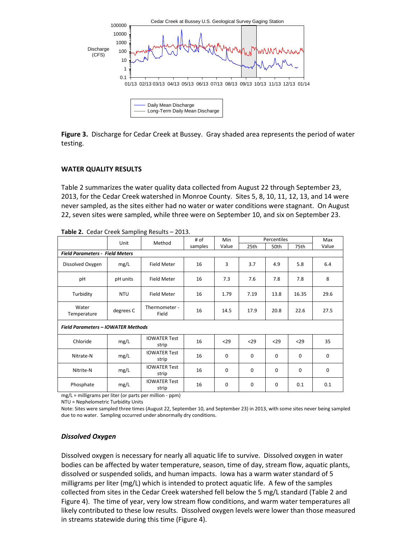

**Figure 3.** Discharge for Cedar Creek at Bussey. Gray shaded area represents the period of water testing.

#### **WATER QUALITY RESULTS**

Table 2 summarizes the water quality data collected from August 22 through September 23, 2013, for the Cedar Creek watershed in Monroe County. Sites 5, 8, 10, 11, 12, 13, and 14 were never sampled, as the sites either had no water or water conditions were stagnant. On August 22, seven sites were sampled, while three were on September 10, and six on September 23.

|                                           |            | Method                       | # of    | Min   |      | Percentiles |       | Max   |  |  |  |
|-------------------------------------------|------------|------------------------------|---------|-------|------|-------------|-------|-------|--|--|--|
|                                           | Unit       |                              | samples | Value | 25th | 50th        | 75th  | Value |  |  |  |
| <b>Field Parameters - Field Meters</b>    |            |                              |         |       |      |             |       |       |  |  |  |
| Dissolved Oxygen                          | mg/L       | Field Meter                  | 16      | 3     | 3.7  | 4.9         | 5.8   | 6.4   |  |  |  |
| pH                                        | pH units   | <b>Field Meter</b>           | 16      | 7.3   | 7.6  | 7.8         | 7.8   | 8     |  |  |  |
| Turbidity                                 | <b>NTU</b> | <b>Field Meter</b>           | 16      | 1.79  | 7.19 | 13.8        | 16.35 | 29.6  |  |  |  |
| Water<br>Temperature                      | degrees C  | Thermometer -<br>Field       | 16      | 14.5  | 17.9 | 20.8        | 22.6  | 27.5  |  |  |  |
| <b>Field Parameters - IOWATER Methods</b> |            |                              |         |       |      |             |       |       |  |  |  |
| Chloride                                  | mg/L       | <b>IOWATER Test</b><br>strip | 16      | $29$  | $29$ | $29$        | $29$  | 35    |  |  |  |
| Nitrate-N                                 | mg/L       | <b>IOWATER Test</b><br>strip | 16      | 0     | 0    | $\mathbf 0$ | 0     | 0     |  |  |  |
| Nitrite-N                                 | mg/L       | <b>IOWATER Test</b><br>strip | 16      | 0     | 0    | $\mathbf 0$ | 0     | 0     |  |  |  |
| Phosphate                                 | mg/L       | <b>IOWATER Test</b><br>strip | 16      | 0     | 0    | 0           | 0.1   | 0.1   |  |  |  |

**Table 2.** Cedar Creek Sampling Results – 2013.

mg/L = milligrams per liter (or parts per million - ppm)

NTU = Nephelometric Turbidity Units

Note: Sites were sampled three times (August 22, September 10, and September 23) in 2013, with some sites never being sampled due to no water. Sampling occurred under abnormally dry conditions.

# *Dissolved Oxygen*

Dissolved oxygen is necessary for nearly all aquatic life to survive. Dissolved oxygen in water bodies can be affected by water temperature, season, time of day, stream flow, aquatic plants, dissolved or suspended solids, and human impacts. Iowa has a warm water standard of 5 milligrams per liter (mg/L) which is intended to protect aquatic life. A few of the samples collected from sites in the Cedar Creek watershed fell below the 5 mg/L standard (Table 2 and Figure 4). The time of year, very low stream flow conditions, and warm water temperatures all likely contributed to these low results. Dissolved oxygen levels were lower than those measured in streams statewide during this time (Figure 4).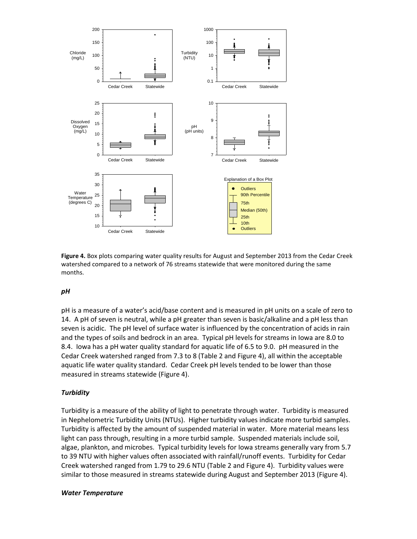

**Figure 4.** Box plots comparing water quality results for August and September 2013 from the Cedar Creek watershed compared to a network of 76 streams statewide that were monitored during the same months.

# *pH*

pH is a measure of a water's acid/base content and is measured in pH units on a scale of zero to 14. A pH of seven is neutral, while a pH greater than seven is basic/alkaline and a pH less than seven is acidic. The pH level of surface water is influenced by the concentration of acids in rain and the types of soils and bedrock in an area. Typical pH levels for streams in Iowa are 8.0 to 8.4. Iowa has a pH water quality standard for aquatic life of 6.5 to 9.0. pH measured in the Cedar Creek watershed ranged from 7.3 to 8 (Table 2 and Figure 4), all within the acceptable aquatic life water quality standard. Cedar Creek pH levels tended to be lower than those measured in streams statewide (Figure 4).

# *Turbidity*

Turbidity is a measure of the ability of light to penetrate through water. Turbidity is measured in Nephelometric Turbidity Units (NTUs). Higher turbidity values indicate more turbid samples. Turbidity is affected by the amount of suspended material in water. More material means less light can pass through, resulting in a more turbid sample. Suspended materials include soil, algae, plankton, and microbes. Typical turbidity levels for Iowa streams generally vary from 5.7 to 39 NTU with higher values often associated with rainfall/runoff events. Turbidity for Cedar Creek watershed ranged from 1.79 to 29.6 NTU (Table 2 and Figure 4). Turbidity values were similar to those measured in streams statewide during August and September 2013 (Figure 4).

#### *Water Temperature*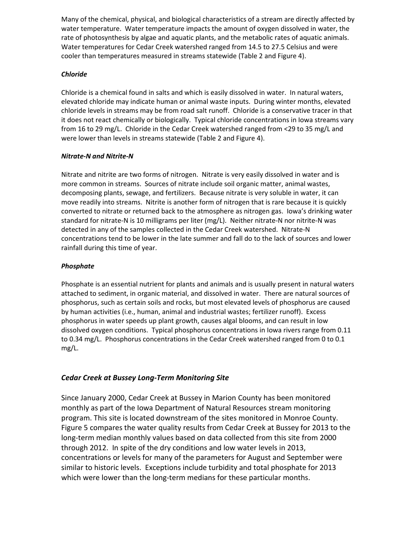Many of the chemical, physical, and biological characteristics of a stream are directly affected by water temperature. Water temperature impacts the amount of oxygen dissolved in water, the rate of photosynthesis by algae and aquatic plants, and the metabolic rates of aquatic animals. Water temperatures for Cedar Creek watershed ranged from 14.5 to 27.5 Celsius and were cooler than temperatures measured in streams statewide (Table 2 and Figure 4).

# *Chloride*

Chloride is a chemical found in salts and which is easily dissolved in water. In natural waters, elevated chloride may indicate human or animal waste inputs. During winter months, elevated chloride levels in streams may be from road salt runoff. Chloride is a conservative tracer in that it does not react chemically or biologically. Typical chloride concentrations in Iowa streams vary from 16 to 29 mg/L. Chloride in the Cedar Creek watershed ranged from <29 to 35 mg/L and were lower than levels in streams statewide (Table 2 and Figure 4).

# *Nitrate-N and Nitrite-N*

Nitrate and nitrite are two forms of nitrogen. Nitrate is very easily dissolved in water and is more common in streams. Sources of nitrate include soil organic matter, animal wastes, decomposing plants, sewage, and fertilizers. Because nitrate is very soluble in water, it can move readily into streams. Nitrite is another form of nitrogen that is rare because it is quickly converted to nitrate or returned back to the atmosphere as nitrogen gas. Iowa's drinking water standard for nitrate-N is 10 milligrams per liter (mg/L). Neither nitrate-N nor nitrite-N was detected in any of the samples collected in the Cedar Creek watershed. Nitrate-N concentrations tend to be lower in the late summer and fall do to the lack of sources and lower rainfall during this time of year.

# *Phosphate*

Phosphate is an essential nutrient for plants and animals and is usually present in natural waters attached to sediment, in organic material, and dissolved in water. There are natural sources of phosphorus, such as certain soils and rocks, but most elevated levels of phosphorus are caused by human activities (i.e., human, animal and industrial wastes; fertilizer runoff). Excess phosphorus in water speeds up plant growth, causes algal blooms, and can result in low dissolved oxygen conditions. Typical phosphorus concentrations in Iowa rivers range from 0.11 to 0.34 mg/L. Phosphorus concentrations in the Cedar Creek watershed ranged from 0 to 0.1 mg/L.

# *Cedar Creek at Bussey Long-Term Monitoring Site*

Since January 2000, Cedar Creek at Bussey in Marion County has been monitored monthly as part of the Iowa Department of Natural Resources stream monitoring program. This site is located downstream of the sites monitored in Monroe County. Figure 5 compares the water quality results from Cedar Creek at Bussey for 2013 to the long-term median monthly values based on data collected from this site from 2000 through 2012. In spite of the dry conditions and low water levels in 2013, concentrations or levels for many of the parameters for August and September were similar to historic levels. Exceptions include turbidity and total phosphate for 2013 which were lower than the long-term medians for these particular months.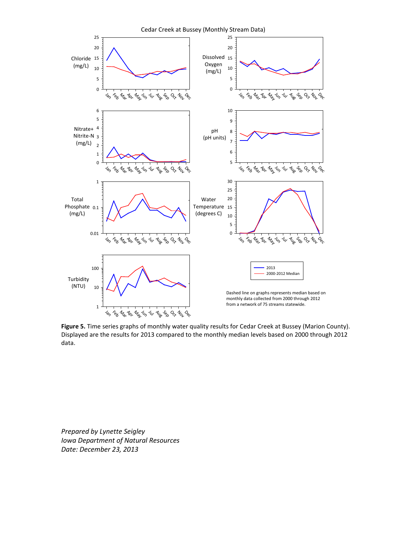

**Figure 5.** Time series graphs of monthly water quality results for Cedar Creek at Bussey (Marion County). Displayed are the results for 2013 compared to the monthly median levels based on 2000 through 2012 data.

*Prepared by Lynette Seigley Iowa Department of Natural Resources Date: December 23, 2013*